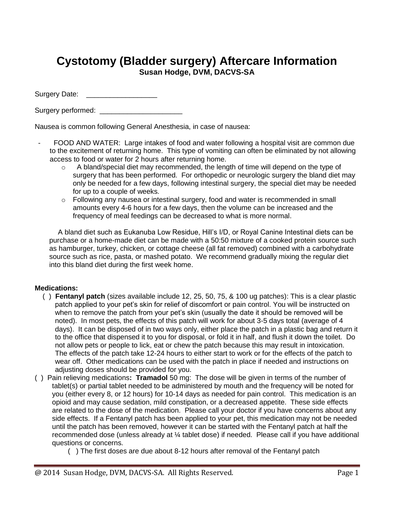## **Cystotomy (Bladder surgery) Aftercare Information**

**Susan Hodge, DVM, DACVS-SA**

Surgery Date: \_\_\_\_\_\_\_\_\_\_\_\_\_\_\_\_\_\_\_\_

Surgery performed:  $\Box$ 

Nausea is common following General Anesthesia, in case of nausea:

- FOOD AND WATER: Large intakes of food and water following a hospital visit are common due to the excitement of returning home. This type of vomiting can often be eliminated by not allowing access to food or water for 2 hours after returning home.
	- $\circ$  A bland/special diet may recommended, the length of time will depend on the type of surgery that has been performed. For orthopedic or neurologic surgery the bland diet may only be needed for a few days, following intestinal surgery, the special diet may be needed for up to a couple of weeks.
	- $\circ$  Following any nausea or intestinal surgery, food and water is recommended in small amounts every 4-6 hours for a few days, then the volume can be increased and the frequency of meal feedings can be decreased to what is more normal.

A bland diet such as Eukanuba Low Residue, Hill's I/D, or Royal Canine Intestinal diets can be purchase or a home-made diet can be made with a 50:50 mixture of a cooked protein source such as hamburger, turkey, chicken, or cottage cheese (all fat removed) combined with a carbohydrate source such as rice, pasta, or mashed potato. We recommend gradually mixing the regular diet into this bland diet during the first week home.

## **Medications:**

- ( ) **Fentanyl patch** (sizes available include 12, 25, 50, 75, & 100 ug patches): This is a clear plastic patch applied to your pet's skin for relief of discomfort or pain control. You will be instructed on when to remove the patch from your pet's skin (usually the date it should be removed will be noted). In most pets, the effects of this patch will work for about 3-5 days total (average of 4 days). It can be disposed of in two ways only, either place the patch in a plastic bag and return it to the office that dispensed it to you for disposal, or fold it in half, and flush it down the toilet. Do not allow pets or people to lick, eat or chew the patch because this may result in intoxication. The effects of the patch take 12-24 hours to either start to work or for the effects of the patch to wear off. Other medications can be used with the patch in place if needed and instructions on adjusting doses should be provided for you.
- ( ) Pain relieving medications**: Tramadol** 50 mg: The dose will be given in terms of the number of tablet(s) or partial tablet needed to be administered by mouth and the frequency will be noted for you (either every 8, or 12 hours) for 10-14 days as needed for pain control. This medication is an opioid and may cause sedation, mild constipation, or a decreased appetite. These side effects are related to the dose of the medication. Please call your doctor if you have concerns about any side effects. If a Fentanyl patch has been applied to your pet, this medication may not be needed until the patch has been removed, however it can be started with the Fentanyl patch at half the recommended dose (unless already at ¼ tablet dose) if needed. Please call if you have additional questions or concerns.
	- ( ) The first doses are due about 8-12 hours after removal of the Fentanyl patch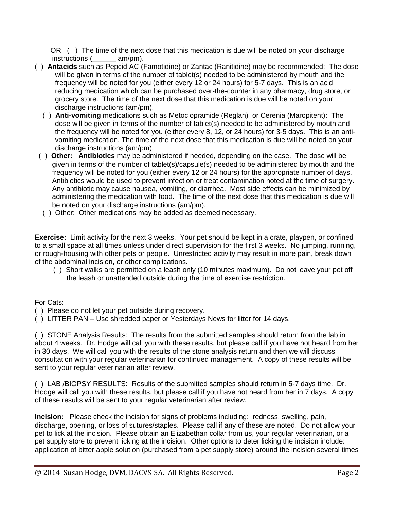OR () The time of the next dose that this medication is due will be noted on your discharge instructions (\_\_\_\_\_\_ am/pm).

- ( ) **Antacids** such as Pepcid AC (Famotidine) or Zantac (Ranitidine) may be recommended:The dose will be given in terms of the number of tablet(s) needed to be administered by mouth and the frequency will be noted for you (either every 12 or 24 hours) for 5-7 days. This is an acid reducing medication which can be purchased over-the-counter in any pharmacy, drug store, or grocery store. The time of the next dose that this medication is due will be noted on your discharge instructions (am/pm).
	- ( ) **Anti-vomiting** medications such as Metoclopramide (Reglan) or Cerenia (Maropitent): The dose will be given in terms of the number of tablet(s) needed to be administered by mouth and the frequency will be noted for you (either every 8, 12, or 24 hours) for 3-5 days. This is an antivomiting medication. The time of the next dose that this medication is due will be noted on your discharge instructions (am/pm).
- ( ) **Other: Antibiotics** may be administered if needed, depending on the case. The dose will be given in terms of the number of tablet(s)/capsule(s) needed to be administered by mouth and the frequency will be noted for you (either every 12 or 24 hours) for the appropriate number of days. Antibiotics would be used to prevent infection or treat contamination noted at the time of surgery. Any antibiotic may cause nausea, vomiting, or diarrhea. Most side effects can be minimized by administering the medication with food. The time of the next dose that this medication is due will be noted on your discharge instructions (am/pm).
- ( ) Other: Other medications may be added as deemed necessary.

**Exercise:** Limit activity for the next 3 weeks. Your pet should be kept in a crate, playpen, or confined to a small space at all times unless under direct supervision for the first 3 weeks. No jumping, running, or rough-housing with other pets or people. Unrestricted activity may result in more pain, break down of the abdominal incision, or other complications.

 ( ) Short walks are permitted on a leash only (10 minutes maximum). Do not leave your pet off the leash or unattended outside during the time of exercise restriction.

For Cats:

- ( ) Please do not let your pet outside during recovery.
- ( ) LITTER PAN Use shredded paper or Yesterdays News for litter for 14 days.

( ) STONE Analysis Results: The results from the submitted samples should return from the lab in about 4 weeks. Dr. Hodge will call you with these results, but please call if you have not heard from her in 30 days. We will call you with the results of the stone analysis return and then we will discuss consultation with your regular veterinarian for continued management. A copy of these results will be sent to your regular veterinarian after review.

( ) LAB /BIOPSY RESULTS: Results of the submitted samples should return in 5-7 days time. Dr. Hodge will call you with these results, but please call if you have not heard from her in 7 days. A copy of these results will be sent to your regular veterinarian after review.

**Incision:** Please check the incision for signs of problems including: redness, swelling, pain, discharge, opening, or loss of sutures/staples. Please call if any of these are noted. Do not allow your pet to lick at the incision. Please obtain an Elizabethan collar from us, your regular veterinarian, or a pet supply store to prevent licking at the incision. Other options to deter licking the incision include: application of bitter apple solution (purchased from a pet supply store) around the incision several times